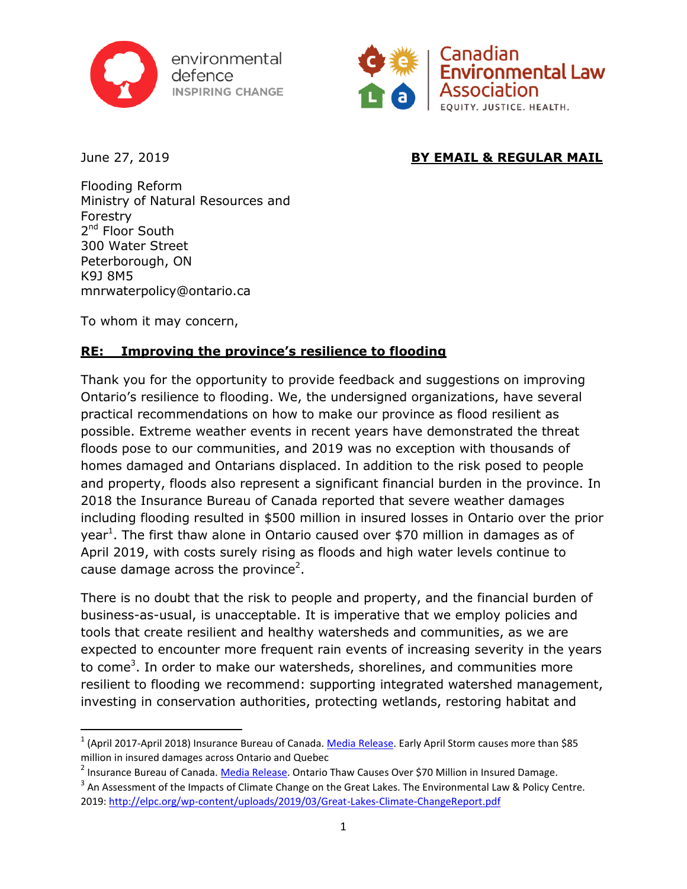

environmental defence. **INSPIRING CHANGE** 



 $\overline{\phantom{a}}$ 

# June 27, 2019 **BY EMAIL & REGULAR MAIL**

Flooding Reform Ministry of Natural Resources and Forestry 2<sup>nd</sup> Floor South 300 Water Street Peterborough, ON K9J 8M5 mnrwaterpolicy@ontario.ca

To whom it may concern,

# **RE: Improving the province's resilience to flooding**

Thank you for the opportunity to provide feedback and suggestions on improving Ontario's resilience to flooding. We, the undersigned organizations, have several practical recommendations on how to make our province as flood resilient as possible. Extreme weather events in recent years have demonstrated the threat floods pose to our communities, and 2019 was no exception with thousands of homes damaged and Ontarians displaced. In addition to the risk posed to people and property, floods also represent a significant financial burden in the province. In 2018 the Insurance Bureau of Canada reported that severe weather damages including flooding resulted in \$500 million in insured losses in Ontario over the prior year<sup>1</sup>. The first thaw alone in Ontario caused over \$70 million in damages as of April 2019, with costs surely rising as floods and high water levels continue to cause damage across the province<sup>2</sup>.

There is no doubt that the risk to people and property, and the financial burden of business-as-usual, is unacceptable. It is imperative that we employ policies and tools that create resilient and healthy watersheds and communities, as we are expected to encounter more frequent rain events of increasing severity in the years to come<sup>3</sup>. In order to make our watersheds, shorelines, and communities more resilient to flooding we recommend: supporting integrated watershed management, investing in conservation authorities, protecting wetlands, restoring habitat and

<sup>&</sup>lt;sup>1</sup> (April 2017-April 2018) Insurance Bureau of Canada. <u>Media Release</u>. Early April Storm causes more than \$85 million in insured damages across Ontario and Quebec

<sup>&</sup>lt;sup>2</sup> Insurance Bureau of Canada. <u>Media Release</u>. Ontario Thaw Causes Over \$70 Million in Insured Damage.

 $^3$  An Assessment of the Impacts of Climate Change on the Great Lakes. The Environmental Law & Policy Centre. 2019:<http://elpc.org/wp-content/uploads/2019/03/Great-Lakes-Climate-ChangeReport.pdf>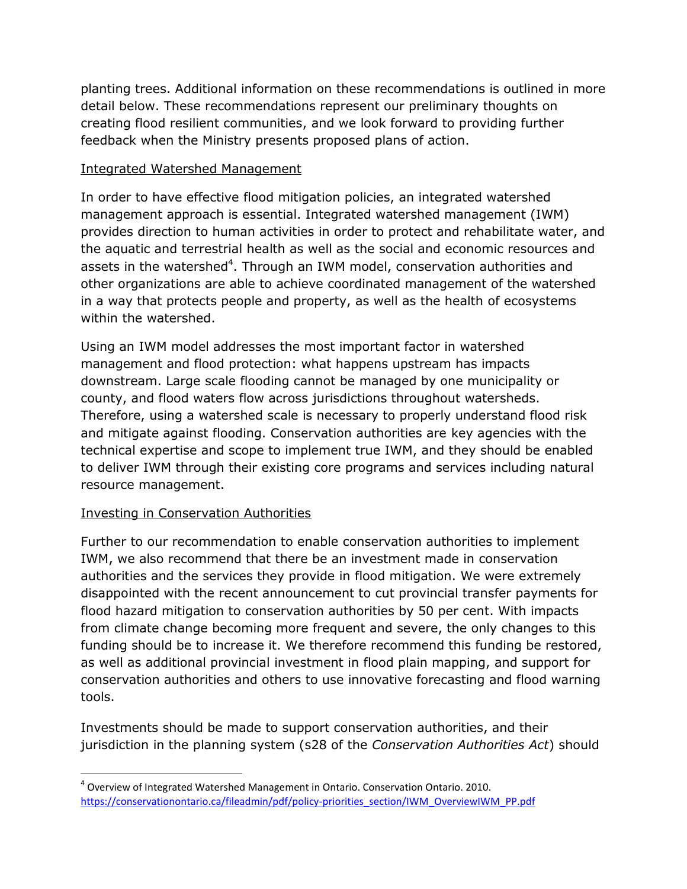planting trees. Additional information on these recommendations is outlined in more detail below. These recommendations represent our preliminary thoughts on creating flood resilient communities, and we look forward to providing further feedback when the Ministry presents proposed plans of action.

### Integrated Watershed Management

In order to have effective flood mitigation policies, an integrated watershed management approach is essential. Integrated watershed management (IWM) provides direction to human activities in order to protect and rehabilitate water, and the aquatic and terrestrial health as well as the social and economic resources and assets in the watershed<sup>4</sup>. Through an IWM model, conservation authorities and other organizations are able to achieve coordinated management of the watershed in a way that protects people and property, as well as the health of ecosystems within the watershed.

Using an IWM model addresses the most important factor in watershed management and flood protection: what happens upstream has impacts downstream. Large scale flooding cannot be managed by one municipality or county, and flood waters flow across jurisdictions throughout watersheds. Therefore, using a watershed scale is necessary to properly understand flood risk and mitigate against flooding. Conservation authorities are key agencies with the technical expertise and scope to implement true IWM, and they should be enabled to deliver IWM through their existing core programs and services including natural resource management.

## Investing in Conservation Authorities

 $\overline{\phantom{a}}$ 

Further to our recommendation to enable conservation authorities to implement IWM, we also recommend that there be an investment made in conservation authorities and the services they provide in flood mitigation. We were extremely disappointed with the recent announcement to cut provincial transfer payments for flood hazard mitigation to conservation authorities by 50 per cent. With impacts from climate change becoming more frequent and severe, the only changes to this funding should be to increase it. We therefore recommend this funding be restored, as well as additional provincial investment in flood plain mapping, and support for conservation authorities and others to use innovative forecasting and flood warning tools.

Investments should be made to support conservation authorities, and their jurisdiction in the planning system (s28 of the *Conservation Authorities Act*) should

<sup>&</sup>lt;sup>4</sup> Overview of Integrated Watershed Management in Ontario. Conservation Ontario. 2010. [https://conservationontario.ca/fileadmin/pdf/policy-priorities\\_section/IWM\\_OverviewIWM\\_PP.pdf](https://conservationontario.ca/fileadmin/pdf/policy-priorities_section/IWM_OverviewIWM_PP.pdf)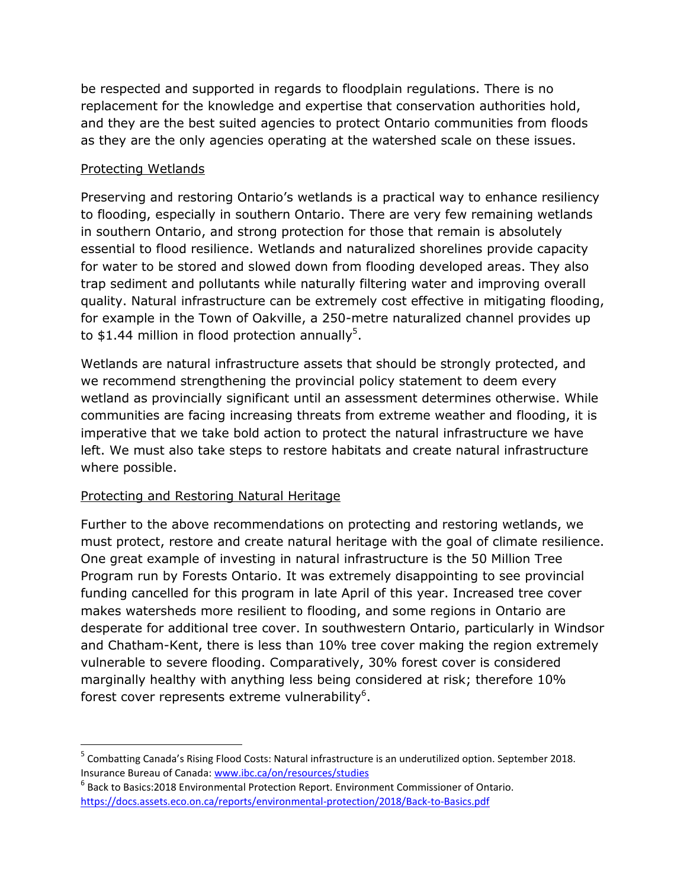be respected and supported in regards to floodplain regulations. There is no replacement for the knowledge and expertise that conservation authorities hold, and they are the best suited agencies to protect Ontario communities from floods as they are the only agencies operating at the watershed scale on these issues.

### Protecting Wetlands

 $\overline{\phantom{a}}$ 

Preserving and restoring Ontario's wetlands is a practical way to enhance resiliency to flooding, especially in southern Ontario. There are very few remaining wetlands in southern Ontario, and strong protection for those that remain is absolutely essential to flood resilience. Wetlands and naturalized shorelines provide capacity for water to be stored and slowed down from flooding developed areas. They also trap sediment and pollutants while naturally filtering water and improving overall quality. Natural infrastructure can be extremely cost effective in mitigating flooding, for example in the Town of Oakville, a 250-metre naturalized channel provides up to \$1.44 million in flood protection annually<sup>5</sup>.

Wetlands are natural infrastructure assets that should be strongly protected, and we recommend strengthening the provincial policy statement to deem every wetland as provincially significant until an assessment determines otherwise. While communities are facing increasing threats from extreme weather and flooding, it is imperative that we take bold action to protect the natural infrastructure we have left. We must also take steps to restore habitats and create natural infrastructure where possible.

## Protecting and Restoring Natural Heritage

Further to the above recommendations on protecting and restoring wetlands, we must protect, restore and create natural heritage with the goal of climate resilience. One great example of investing in natural infrastructure is the 50 Million Tree Program run by Forests Ontario. It was extremely disappointing to see provincial funding cancelled for this program in late April of this year. Increased tree cover makes watersheds more resilient to flooding, and some regions in Ontario are desperate for additional tree cover. In southwestern Ontario, particularly in Windsor and Chatham-Kent, there is less than 10% tree cover making the region extremely vulnerable to severe flooding. Comparatively, 30% forest cover is considered marginally healthy with anything less being considered at risk; therefore 10% forest cover represents extreme vulnerability<sup>6</sup>.

<sup>&</sup>lt;sup>5</sup> Combatting Canada's Rising Flood Costs: Natural infrastructure is an underutilized option. September 2018. Insurance Bureau of Canada: [www.ibc.ca/on/resources/studies](http://www.ibc.ca/on/resources/studies)

<sup>6</sup> Back to Basics:2018 Environmental Protection Report. Environment Commissioner of Ontario. <https://docs.assets.eco.on.ca/reports/environmental-protection/2018/Back-to-Basics.pdf>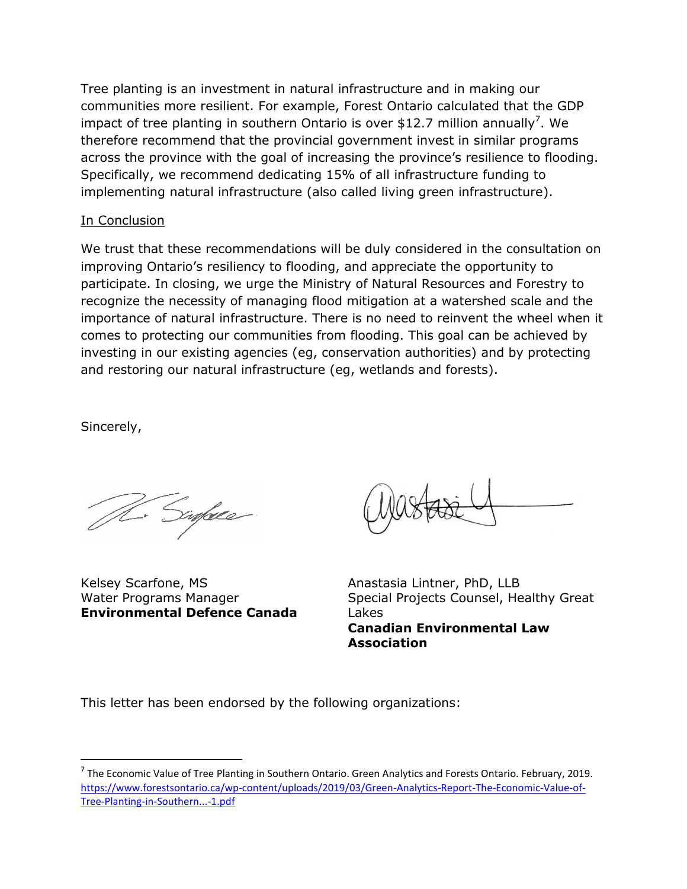Tree planting is an investment in natural infrastructure and in making our communities more resilient. For example, Forest Ontario calculated that the GDP impact of tree planting in southern Ontario is over \$12.7 million annually<sup>7</sup>. We therefore recommend that the provincial government invest in similar programs across the province with the goal of increasing the province's resilience to flooding. Specifically, we recommend dedicating 15% of all infrastructure funding to implementing natural infrastructure (also called living green infrastructure).

### In Conclusion

We trust that these recommendations will be duly considered in the consultation on improving Ontario's resiliency to flooding, and appreciate the opportunity to participate. In closing, we urge the Ministry of Natural Resources and Forestry to recognize the necessity of managing flood mitigation at a watershed scale and the importance of natural infrastructure. There is no need to reinvent the wheel when it comes to protecting our communities from flooding. This goal can be achieved by investing in our existing agencies (eg, conservation authorities) and by protecting and restoring our natural infrastructure (eg, wetlands and forests).

Sincerely,

 $\overline{\phantom{a}}$ 

Sinface

Kelsey Scarfone, MS Water Programs Manager **Environmental Defence Canada**

Anastasia Lintner, PhD, LLB Special Projects Counsel, Healthy Great Lakes **Canadian Environmental Law Association**

This letter has been endorsed by the following organizations:

<sup>&</sup>lt;sup>7</sup> The Economic Value of Tree Planting in Southern Ontario. Green Analytics and Forests Ontario. February, 2019. [https://www.forestsontario.ca/wp-content/uploads/2019/03/Green-Analytics-Report-The-Economic-Value-of-](https://www.forestsontario.ca/wp-content/uploads/2019/03/Green-Analytics-Report-The-Economic-Value-of-Tree-Planting-in-Southern...-1.pdf)[Tree-Planting-in-Southern...-1.pdf](https://www.forestsontario.ca/wp-content/uploads/2019/03/Green-Analytics-Report-The-Economic-Value-of-Tree-Planting-in-Southern...-1.pdf)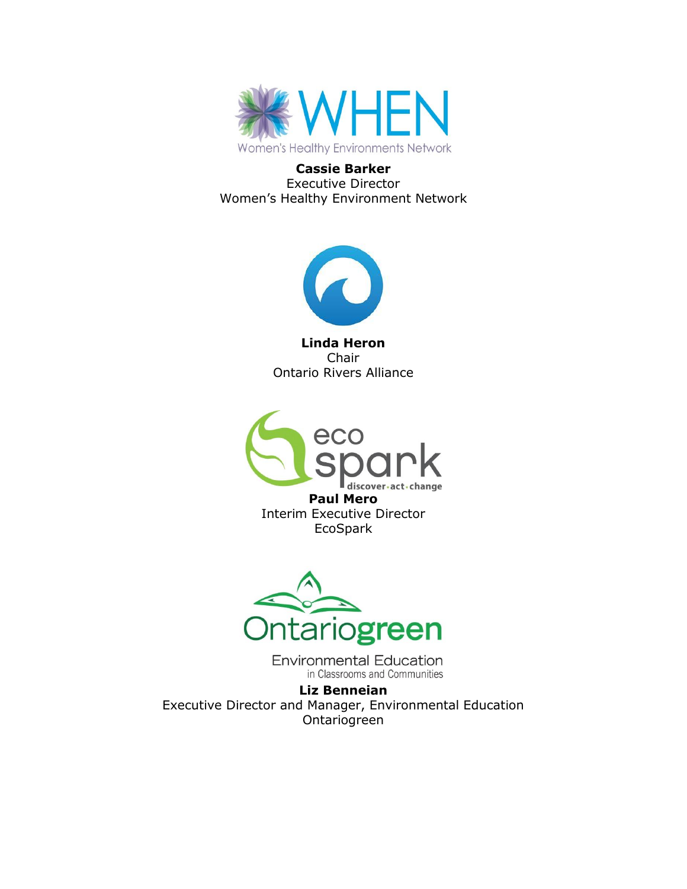

**Cassie Barker** Executive Director Women's Healthy Environment Network



**Linda Heron** Chair Ontario Rivers Alliance



**Paul Mero** Interim Executive Director EcoSpark



**Environmental Education** in Classrooms and Communities

**Liz Benneian** Executive Director and Manager, Environmental Education Ontariogreen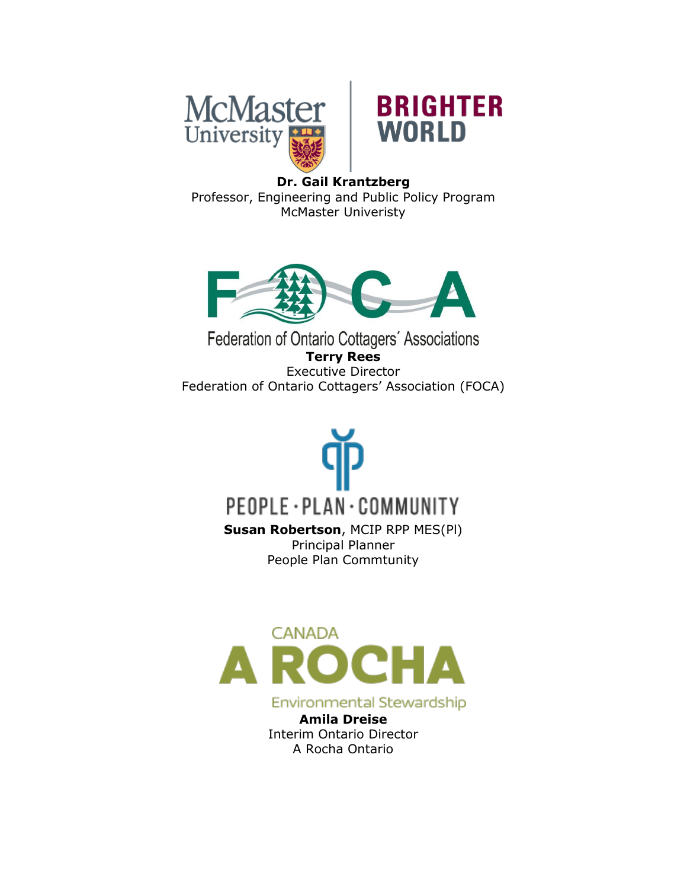



# **Dr. Gail Krantzberg** Professor, Engineering and Public Policy Program McMaster Univeristy



Federation of Ontario Cottagers' Associations **Terry Rees** Executive Director Federation of Ontario Cottagers' Association (FOCA)

# PEOPLE · PLAN · COMMUNITY

**Susan Robertson**, MCIP RPP MES(Pl) Principal Planner People Plan Commtunity



Environmental Stewardship

**Amila Dreise** Interim Ontario Director A Rocha Ontario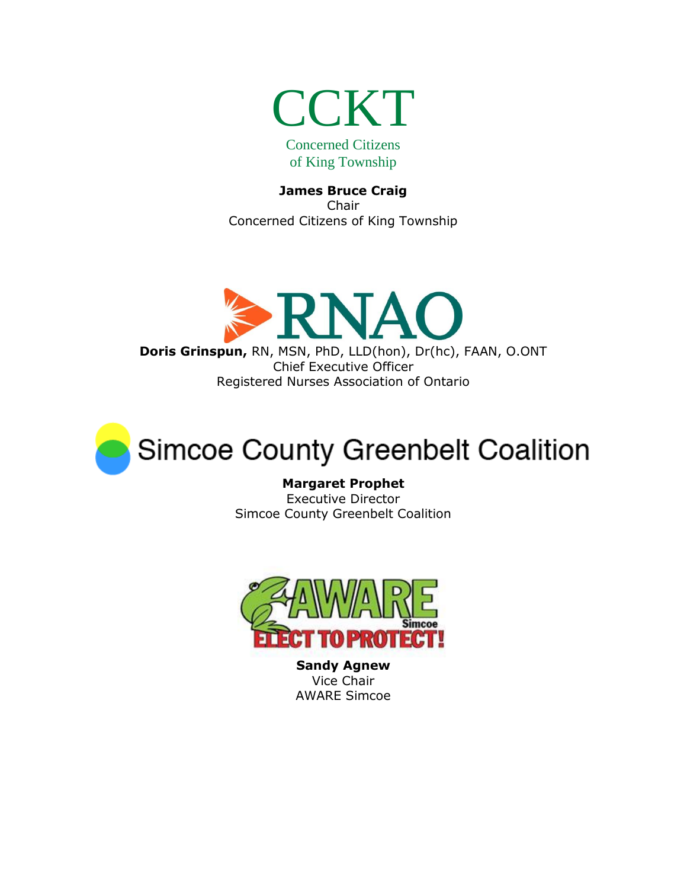

**James Bruce Craig** Chair Concerned Citizens of King Township





**Margaret Prophet** Executive Director Simcoe County Greenbelt Coalition



**Sandy Agnew** Vice Chair AWARE Simcoe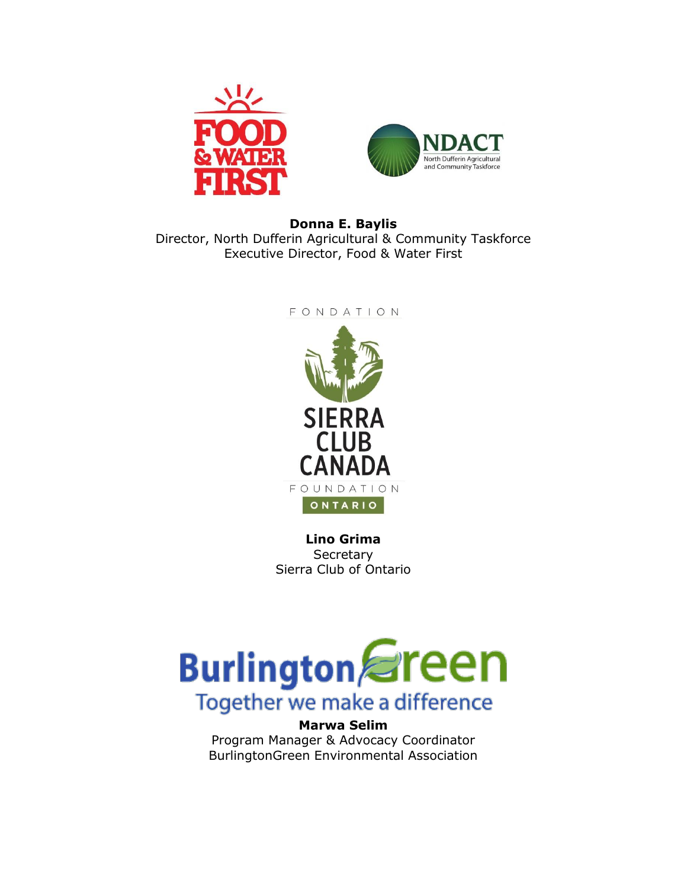



## **Donna E. Baylis** Director, North Dufferin Agricultural & Community Taskforce Executive Director, Food & Water First

FONDATION



**Lino Grima Secretary** Sierra Club of Ontario



**Marwa Selim** Program Manager & Advocacy Coordinator BurlingtonGreen Environmental Association